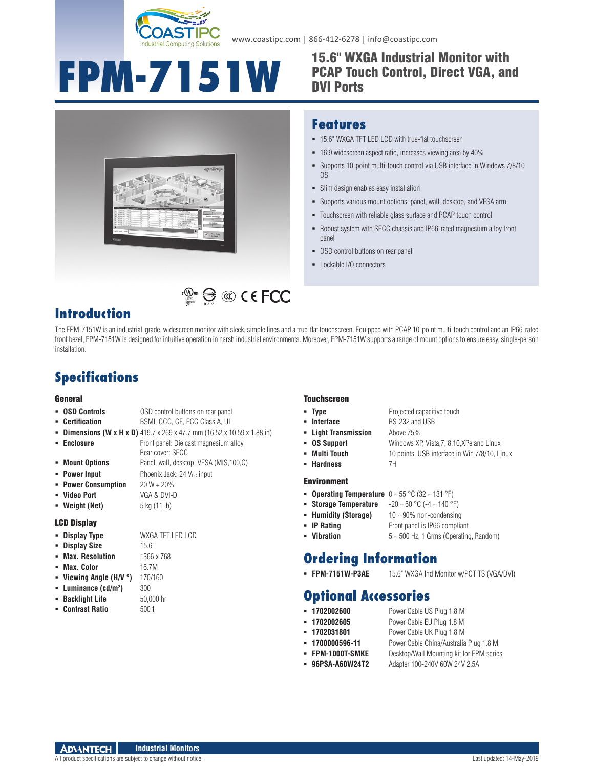

www.coastipc.com | 866-412-6278 | info@coastipc.com

# **FPM-7151W** <sup>15.6"</sup> WXGA Industrial Monitor with

## PCAP Touch Control, Direct VGA, and DVI Ports



### **Features**

- 15.6" WXGA TFT LED LCD with true-flat touchscreen
- 16:9 widescreen aspect ratio, increases viewing area by 40%
- Supports 10-point multi-touch control via USB interface in Windows 7/8/10 OS
- Slim design enables easy installation
- Supports various mount options: panel, wall, desktop, and VESA arm
- Touchscreen with reliable glass surface and PCAP touch control
- Robust system with SECC chassis and IP66-rated magnesium alloy front panel
- OSD control buttons on rear panel
- Lockable I/O connectors

## **Introduction**

The FPM-7151W is an industrial-grade, widescreen monitor with sleek, simple lines and a true-flat touchscreen. Equipped with PCAP 10-point multi-touch control and an IP66-rated front bezel, FPM-7151W is designed for intuitive operation in harsh industrial environments. Moreover, FPM-7151W supports a range of mount options to ensure easy, single-person installation.

 $\mathbb{C}_{\mathbb{R}^m}^{\mathbb{C}_{\mathbb{R}^m}}\bigoplus_{n=1}^\infty\mathbb{C}_n^n\subset\mathsf{C}$  FCC

## **Specifications**

#### General

| <b>OSD Controls</b>                                                                | OSD control buttons on rear panel                         |
|------------------------------------------------------------------------------------|-----------------------------------------------------------|
| <b>Certification</b><br>٠                                                          | BSMI, CCC, CE, FCC Class A, UL                            |
| <b>Dimensions (W x H x D)</b> 419.7 x 269 x 47.7 mm (16.52 x 10.59 x 1.88 in)<br>٠ |                                                           |
| <b>Enclosure</b><br>٠                                                              | Front panel: Die cast magnesium alloy<br>Rear cover: SECC |
| <b>Mount Options</b>                                                               | Panel, wall, desktop, VESA (MIS, 100, C)                  |
| <b>Power Input</b><br>٠                                                            | Phoenix Jack: 24 V <sub>pc</sub> input                    |
| <b>Power Consumption</b><br>٠                                                      | $20 W + 20%$                                              |
| <b>Video Port</b>                                                                  | VGA & DVI-D                                               |
| Weight (Net)                                                                       | 5 kg (11 lb)                                              |
| <b>LCD Display</b>                                                                 |                                                           |
| <b>Display Type</b>                                                                | WXGA TFT LED LCD                                          |
| <b>Display Size</b><br>٠                                                           | 15.6"                                                     |
| <b>Max. Resolution</b><br>٠                                                        | 1366 x 768                                                |
| Max. Color<br>٠                                                                    | 16.7M                                                     |
| - Uiowing Anglo (UAI °)                                                            | 170/160                                                   |

- **Viewing Angle (H/V °)** 170/160
- **Luminance (cd/m2**
- 
- 

#### **Touchscreen**

- **Type** Projected capacitive touch
- 
- **Interface** RS-232 and USB **Light Transmission** Above 75%
- **OS Support** Windows XP, Vista,7, 8,10,XPe and Linux
- **Multi Touch** 10 points, USB interface in Win 7/8/10, Linux
- **Hardness** 7H
- Environment
- **Operating Temperature** 0 ~ 55 °C (32 ~ 131 °F)
- **Storage Temperature** -20 ~ 60 °C (-4 ~ 140 °F)
- **Humidity (Storage)** 10 ~ 90% non-condensing
- **IP Rating** Front panel is IP66 compliant
- **Vibration** 5 ~ 500 Hz, 1 Grms (Operating, Random)

## **Ordering Information**

**FPM-7151W-P3AE** 15.6" WXGA Ind Monitor w/PCT TS (VGA/DVI)

## **Optional Accessories**

- **1702002600** Power Cable US Plug 1.8 M
- **1702002605** Power Cable EU Plug 1.8 M
- **1702031801** Power Cable UK Plug 1.8 M
- 
- **1700000596-11** Power Cable China/Australia Plug 1.8 M **FPM-1000T-SMKE** Desktop/Wall Mounting kit for FPM series
- 
- **96PSA-A60W24T2** Adapter 100-240V 60W 24V 2.5A

**)** 300

5001

All product specifications are subject to change without notice. Last updated: 14-May-2019

- 
- **Backlight Life** 50,000 hr
- **E** Contrast Ratio